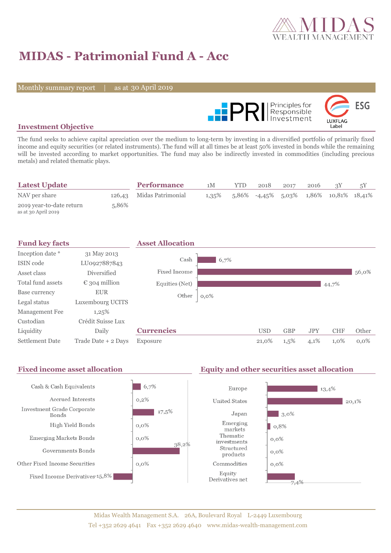

# **MIDAS - Patrimonial Fund A - Acc**

Monthly summary report | as at 30 April 2019



### **Investment Objective**

The fund seeks to achieve capital apreciation over the medium to long-term by investing in a diversified portfolio of primarily fixed income and equity securities (or related instruments). The fund will at all times be at least 50% invested in bonds while the remaining will be invested according to market opportunities. The fund may also be indirectly invested in commodities (including precious metals) and related thematic plays.

| <b>Latest Update</b>                            |       | <b>Performance</b>       | 1М       | YTD | 2018 | 2017 | 2016 |                                                          |  |
|-------------------------------------------------|-------|--------------------------|----------|-----|------|------|------|----------------------------------------------------------|--|
| NAV per share                                   |       | 126,43 Midas Patrimonial | $1,35\%$ |     |      |      |      | $5,86\%$ $-4,45\%$ $5,03\%$ $1,86\%$ $10,81\%$ $18,41\%$ |  |
| 2019 year-to-date return<br>as at 30 April 2019 | 5.86% |                          |          |     |      |      |      |                                                          |  |

| <b>Fund key facts</b>  |                        | <b>Asset Allocation</b> |         |            |            |            |            |         |
|------------------------|------------------------|-------------------------|---------|------------|------------|------------|------------|---------|
| Inception date *       | 31 May 2013            |                         |         |            |            |            |            |         |
| ISIN code              | LU0927887843           | Cash                    | 6,7%    |            |            |            |            |         |
| Asset class            | <b>Diversified</b>     | Fixed Income            |         |            |            |            |            | 56,0%   |
| Total fund assets      | $\epsilon$ 304 million | Equities (Net)          |         |            |            |            | 44,7%      |         |
| Base currency          | <b>EUR</b>             | Other                   | $0,0\%$ |            |            |            |            |         |
| Legal status           | Luxembourg UCITS       |                         |         |            |            |            |            |         |
| Management Fee         | 1,25%                  |                         |         |            |            |            |            |         |
| Custodian              | Crédit Suisse Lux      |                         |         |            |            |            |            |         |
| Liquidity              | Daily                  | <b>Currencies</b>       |         | <b>USD</b> | <b>GBP</b> | <b>JPY</b> | <b>CHF</b> | Other   |
| <b>Settlement Date</b> | Trade Date + 2 Days    | Exposure                |         | 21,0%      | $1,5\%$    | 4,1%       | 1,0%       | $0.0\%$ |

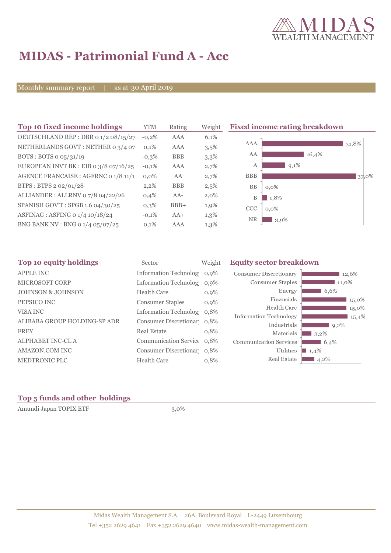

## **MIDAS - Patrimonial Fund A - Acc**

Monthly summary report | as at 30 April 2019

| Top 10 fixed income holdings            | <b>YTM</b> | Rating     | Weight  | <b>Fixed income rating breakdown</b> |
|-----------------------------------------|------------|------------|---------|--------------------------------------|
| DEUTSCHLAND REP : DBR 0 1/2 08/15/27    | $-0,2%$    | <b>AAA</b> | 6,1%    |                                      |
| NETHERLANDS GOVT: NETHER 0 3/4 07       | 0,1%       | AAA        | 3,5%    | <b>AAA</b><br>31,8%                  |
| BOTS: BOTS $o$ $o5/31/19$               | $-0,3\%$   | <b>BBB</b> | 3,3%    | AA<br>16,4%                          |
| EUROPEAN INVT BK : EIB o $3/8$ o7/16/25 | $-0,1%$    | <b>AAA</b> | 2,7%    | $9,1\%$<br>A                         |
| AGENCE FRANCAISE : AGFRNC 0 1/8 11/1.   | $0.0\%$    | AA         | 2,7%    | <b>BBB</b><br>37,0%                  |
| BTPS: BTPS 2 02/01/28                   | $2,2\%$    | <b>BBB</b> | 2,5%    | <b>BB</b><br>$0,0\%$                 |
| ALLIANDER: ALLRNV 07/8 04/22/26         | 0,4%       | $AA-$      | $2,0\%$ | 1,8%<br>B                            |
| SPANISH GOV'T: SPGB 1.6 04/30/25        | $0,3\%$    | $BBB+$     | 1,9%    | CCC<br>$0,0\%$                       |
| ASFINAG : ASFING 0 1/4 10/18/24         | $-0,1%$    | $AA+$      | $1,3\%$ | <b>NR</b><br>3,9%                    |
| BNG BANK NV : BNG 0 1/4 05/07/25        | 0,1%       | AAA        | $1,3\%$ |                                      |

| Top 10 equity holdings       | Sector                     | Weight | <b>Equity sector breakdown</b> |         |  |  |
|------------------------------|----------------------------|--------|--------------------------------|---------|--|--|
| <b>APPLE INC</b>             | Information Technolog 0,9% |        | <b>Consumer Discretionary</b>  | 12,6%   |  |  |
| MICROSOFT CORP               | Information Technolog 0,9% |        | Consumer Staples               | 11,0%   |  |  |
| <b>JOHNSON &amp; JOHNSON</b> | Health Care                | 0,9%   | Energy                         | 6,6%    |  |  |
| PEPSICO INC                  | <b>Consumer Staples</b>    | 0,9%   | Financials                     | 15,0%   |  |  |
| VISA INC                     | Information Technolog 0.8% |        | Health Care                    | 15,0%   |  |  |
|                              |                            |        | <b>Information Technology</b>  | 15,4%   |  |  |
| ALIBABA GROUP HOLDING-SP ADR | Consumer Discretionar 0,8% |        | Industrials                    | $9,2\%$ |  |  |
| <b>FREY</b>                  | <b>Real Estate</b>         | 0,8%   | Materials                      | $3,2\%$ |  |  |
| ALPHABET INC-CL A            | Communication Service 0.8% |        | <b>Communication Services</b>  | 6,4%    |  |  |
| AMAZON.COM INC               | Consumer Discretionar 0,8% |        | Utilities                      | 1,4%    |  |  |
| MEDTRONIC PLC                | Health Care                | 0,8%   | Real Estate                    | $4,2\%$ |  |  |

### **Top 5 funds and other holdings**

Amundi Japan TOPIX ETF 3,0%